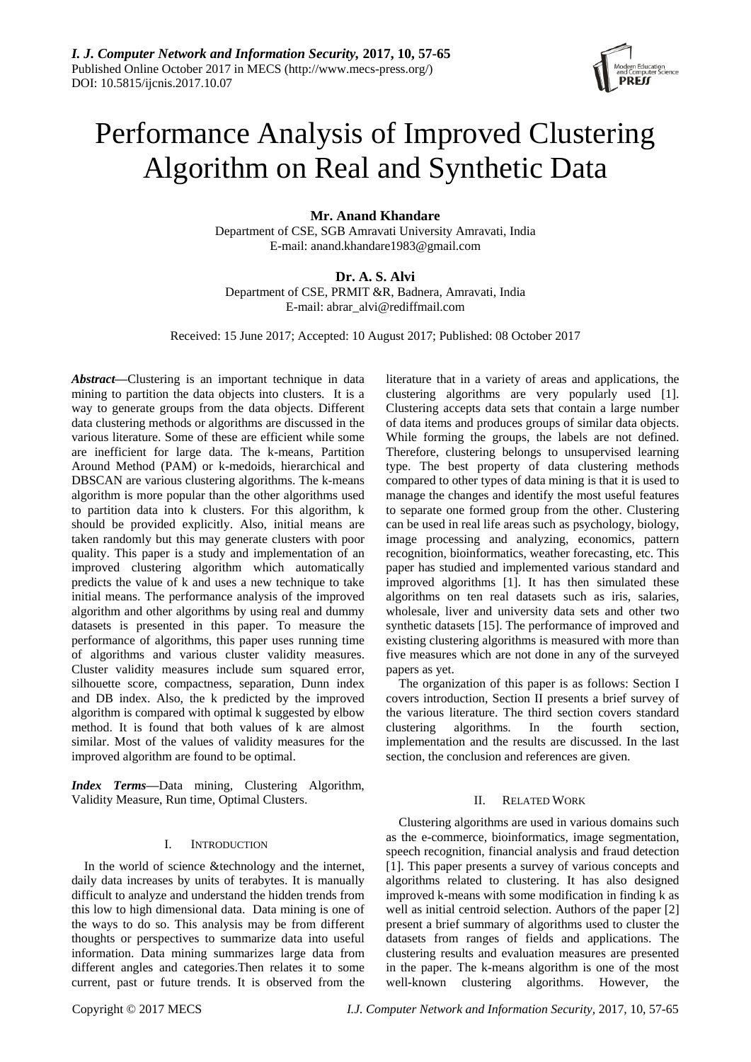

# Performance Analysis of Improved Clustering Algorithm on Real and Synthetic Data

**Mr. Anand Khandare**

Department of CSE, SGB Amravati University Amravati, India E-mail: anand.khandare1983@gmail.com

**Dr. A. S. Alvi**

Department of CSE, PRMIT &R, Badnera, Amravati, India E-mail: abrar\_alvi@rediffmail.com

Received: 15 June 2017; Accepted: 10 August 2017; Published: 08 October 2017

*Abstract—*Clustering is an important technique in data mining to partition the data objects into clusters. It is a way to generate groups from the data objects. Different data clustering methods or algorithms are discussed in the various literature. Some of these are efficient while some are inefficient for large data. The k-means, Partition Around Method (PAM) or k-medoids, hierarchical and DBSCAN are various clustering algorithms. The k-means algorithm is more popular than the other algorithms used to partition data into k clusters. For this algorithm, k should be provided explicitly. Also, initial means are taken randomly but this may generate clusters with poor quality. This paper is a study and implementation of an improved clustering algorithm which automatically predicts the value of k and uses a new technique to take initial means. The performance analysis of the improved algorithm and other algorithms by using real and dummy datasets is presented in this paper. To measure the performance of algorithms, this paper uses running time of algorithms and various cluster validity measures. Cluster validity measures include sum squared error, silhouette score, compactness, separation, Dunn index and DB index. Also, the k predicted by the improved algorithm is compared with optimal k suggested by elbow method. It is found that both values of k are almost similar. Most of the values of validity measures for the improved algorithm are found to be optimal.

*Index Terms—*Data mining, Clustering Algorithm, Validity Measure, Run time, Optimal Clusters.

## I. INTRODUCTION

In the world of science &technology and the internet, daily data increases by units of terabytes. It is manually difficult to analyze and understand the hidden trends from this low to high dimensional data. Data mining is one of the ways to do so. This analysis may be from different thoughts or perspectives to summarize data into useful information. Data mining summarizes large data from different angles and categories.Then relates it to some current, past or future trends. It is observed from the

literature that in a variety of areas and applications, the clustering algorithms are very popularly used [1]. Clustering accepts data sets that contain a large number of data items and produces groups of similar data objects. While forming the groups, the labels are not defined. Therefore, clustering belongs to unsupervised learning type. The best property of data clustering methods compared to other types of data mining is that it is used to manage the changes and identify the most useful features to separate one formed group from the other. Clustering can be used in real life areas such as psychology, biology, image processing and analyzing, economics, pattern recognition, bioinformatics, weather forecasting, etc. This paper has studied and implemented various standard and improved algorithms [1]. It has then simulated these algorithms on ten real datasets such as iris, salaries, wholesale, liver and university data sets and other two synthetic datasets [15]. The performance of improved and existing clustering algorithms is measured with more than five measures which are not done in any of the surveyed papers as yet.

The organization of this paper is as follows: Section I covers introduction, Section II presents a brief survey of the various literature. The third section covers standard clustering algorithms. In the fourth section, implementation and the results are discussed. In the last section, the conclusion and references are given.

## II. RELATED WORK

Clustering algorithms are used in various domains such as the e-commerce, bioinformatics, image segmentation, speech recognition, financial analysis and fraud detection [1]. This paper presents a survey of various concepts and algorithms related to clustering. It has also designed improved k-means with some modification in finding k as well as initial centroid selection. Authors of the paper [2] present a brief summary of algorithms used to cluster the datasets from ranges of fields and applications. The clustering results and evaluation measures are presented in the paper. The k-means algorithm is one of the most well-known clustering algorithms. However, the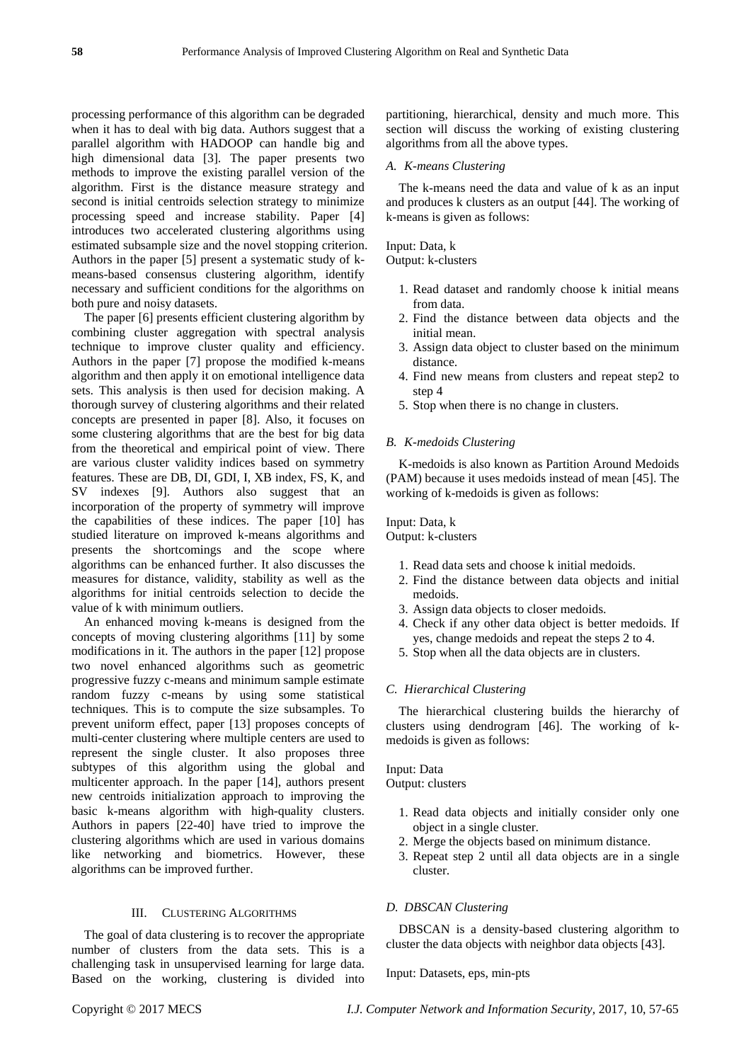processing performance of this algorithm can be degraded when it has to deal with big data. Authors suggest that a parallel algorithm with HADOOP can handle big and high dimensional data [3]. The paper presents two methods to improve the existing parallel version of the algorithm. First is the distance measure strategy and second is initial centroids selection strategy to minimize processing speed and increase stability. Paper [4] introduces two accelerated clustering algorithms using estimated subsample size and the novel stopping criterion. Authors in the paper [5] present a systematic study of kmeans-based consensus clustering algorithm, identify necessary and sufficient conditions for the algorithms on both pure and noisy datasets.

The paper [6] presents efficient clustering algorithm by combining cluster aggregation with spectral analysis technique to improve cluster quality and efficiency. Authors in the paper [7] propose the modified k-means algorithm and then apply it on emotional intelligence data sets. This analysis is then used for decision making. A thorough survey of clustering algorithms and their related concepts are presented in paper [8]. Also, it focuses on some clustering algorithms that are the best for big data from the theoretical and empirical point of view. There are various cluster validity indices based on symmetry features. These are DB, DI, GDI, I, XB index, FS, K, and SV indexes [9]. Authors also suggest that an incorporation of the property of symmetry will improve the capabilities of these indices. The paper [10] has studied literature on improved k-means algorithms and presents the shortcomings and the scope where algorithms can be enhanced further. It also discusses the measures for distance, validity, stability as well as the algorithms for initial centroids selection to decide the value of k with minimum outliers.

An enhanced moving k-means is designed from the concepts of moving clustering algorithms [11] by some modifications in it. The authors in the paper [12] propose two novel enhanced algorithms such as geometric progressive fuzzy c-means and minimum sample estimate random fuzzy c-means by using some statistical techniques. This is to compute the size subsamples. To prevent uniform effect, paper [13] proposes concepts of multi-center clustering where multiple centers are used to represent the single cluster. It also proposes three subtypes of this algorithm using the global and multicenter approach. In the paper [14], authors present new centroids initialization approach to improving the basic k-means algorithm with high-quality clusters. Authors in papers [22-40] have tried to improve the clustering algorithms which are used in various domains like networking and biometrics. However, these algorithms can be improved further.

#### III. CLUSTERING ALGORITHMS

The goal of data clustering is to recover the appropriate number of clusters from the data sets. This is a challenging task in unsupervised learning for large data. Based on the working, clustering is divided into partitioning, hierarchical, density and much more. This section will discuss the working of existing clustering algorithms from all the above types.

#### *A. K-means Clustering*

The k-means need the data and value of k as an input and produces k clusters as an output [44]. The working of k-means is given as follows:

## Input: Data, k

Output: k-clusters

- 1. Read dataset and randomly choose k initial means from data.
- 2. Find the distance between data objects and the initial mean.
- 3. Assign data object to cluster based on the minimum distance.
- 4. Find new means from clusters and repeat step2 to step 4
- 5. Stop when there is no change in clusters.

## *B. K-medoids Clustering*

K-medoids is also known as Partition Around Medoids (PAM) because it uses medoids instead of mean [45]. The working of k-medoids is given as follows:

## Input: Data, k

Output: k-clusters

- 1. Read data sets and choose k initial medoids.
- 2. Find the distance between data objects and initial medoids.
- 3. Assign data objects to closer medoids.
- 4. Check if any other data object is better medoids. If yes, change medoids and repeat the steps 2 to 4.
- 5. Stop when all the data objects are in clusters.

#### *C. Hierarchical Clustering*

The hierarchical clustering builds the hierarchy of clusters using dendrogram [46]. The working of kmedoids is given as follows:

Input: Data Output: clusters

- 1. Read data objects and initially consider only one object in a single cluster.
- 2. Merge the objects based on minimum distance.
- 3. Repeat step 2 until all data objects are in a single cluster.

## *D. DBSCAN Clustering*

DBSCAN is a density-based clustering algorithm to cluster the data objects with neighbor data objects [43].

## Input: Datasets, eps, min-pts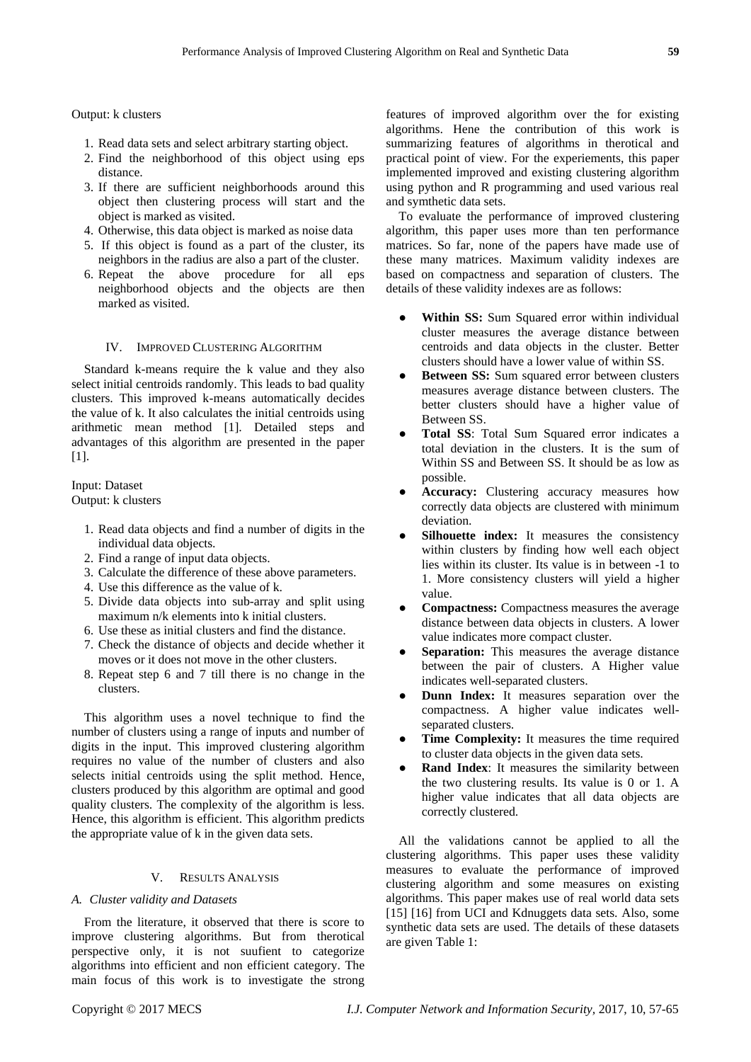Output: k clusters

- 1. Read data sets and select arbitrary starting object.
- 2. Find the neighborhood of this object using eps distance.
- 3. If there are sufficient neighborhoods around this object then clustering process will start and the object is marked as visited.
- 4. Otherwise, this data object is marked as noise data
- 5. If this object is found as a part of the cluster, its neighbors in the radius are also a part of the cluster.
- 6. Repeat the above procedure for all eps neighborhood objects and the objects are then marked as visited.

## IV. IMPROVED CLUSTERING ALGORITHM

Standard k-means require the k value and they also select initial centroids randomly. This leads to bad quality clusters. This improved k-means automatically decides the value of k. It also calculates the initial centroids using arithmetic mean method [1]. Detailed steps and advantages of this algorithm are presented in the paper [1].

## Input: Dataset

Output: k clusters

- 1. Read data objects and find a number of digits in the individual data objects.
- 2. Find a range of input data objects.
- 3. Calculate the difference of these above parameters.
- 4. Use this difference as the value of k.
- 5. Divide data objects into sub-array and split using maximum n/k elements into k initial clusters.
- 6. Use these as initial clusters and find the distance.
- 7. Check the distance of objects and decide whether it moves or it does not move in the other clusters.
- 8. Repeat step 6 and 7 till there is no change in the clusters.

This algorithm uses a novel technique to find the number of clusters using a range of inputs and number of digits in the input. This improved clustering algorithm requires no value of the number of clusters and also selects initial centroids using the split method. Hence, clusters produced by this algorithm are optimal and good quality clusters. The complexity of the algorithm is less. Hence, this algorithm is efficient. This algorithm predicts the appropriate value of k in the given data sets.

## V. RESULTS ANALYSIS

## *A. Cluster validity and Datasets*

From the literature, it observed that there is score to improve clustering algorithms. But from therotical perspective only, it is not suufient to categorize algorithms into efficient and non efficient category. The main focus of this work is to investigate the strong

features of improved algorithm over the for existing algorithms. Hene the contribution of this work is summarizing features of algorithms in therotical and practical point of view. For the experiements, this paper implemented improved and existing clustering algorithm using python and R programming and used various real and symthetic data sets.

To evaluate the performance of improved clustering algorithm, this paper uses more than ten performance matrices. So far, none of the papers have made use of these many matrices. Maximum validity indexes are based on compactness and separation of clusters. The details of these validity indexes are as follows:

- Within SS: Sum Squared error within individual cluster measures the average distance between centroids and data objects in the cluster. Better clusters should have a lower value of within SS.
- **Between SS:** Sum squared error between clusters measures average distance between clusters. The better clusters should have a higher value of Between SS.
- Total SS: Total Sum Squared error indicates a total deviation in the clusters. It is the sum of Within SS and Between SS. It should be as low as possible.
- **Accuracy:** Clustering accuracy measures how correctly data objects are clustered with minimum deviation.
- Silhouette index: It measures the consistency within clusters by finding how well each object lies within its cluster. Its value is in between -1 to 1. More consistency clusters will yield a higher value.
- **Compactness:** Compactness measures the average distance between data objects in clusters. A lower value indicates more compact cluster.
- Separation: This measures the average distance between the pair of clusters. A Higher value indicates well-separated clusters.
- **Dunn Index:** It measures separation over the compactness. A higher value indicates wellseparated clusters.
- Time Complexity: It measures the time required to cluster data objects in the given data sets.
- **Rand Index:** It measures the similarity between the two clustering results. Its value is 0 or 1. A higher value indicates that all data objects are correctly clustered.

All the validations cannot be applied to all the clustering algorithms. This paper uses these validity measures to evaluate the performance of improved clustering algorithm and some measures on existing algorithms. This paper makes use of real world data sets [15] [16] from UCI and Kdnuggets data sets. Also, some synthetic data sets are used. The details of these datasets are given Table 1: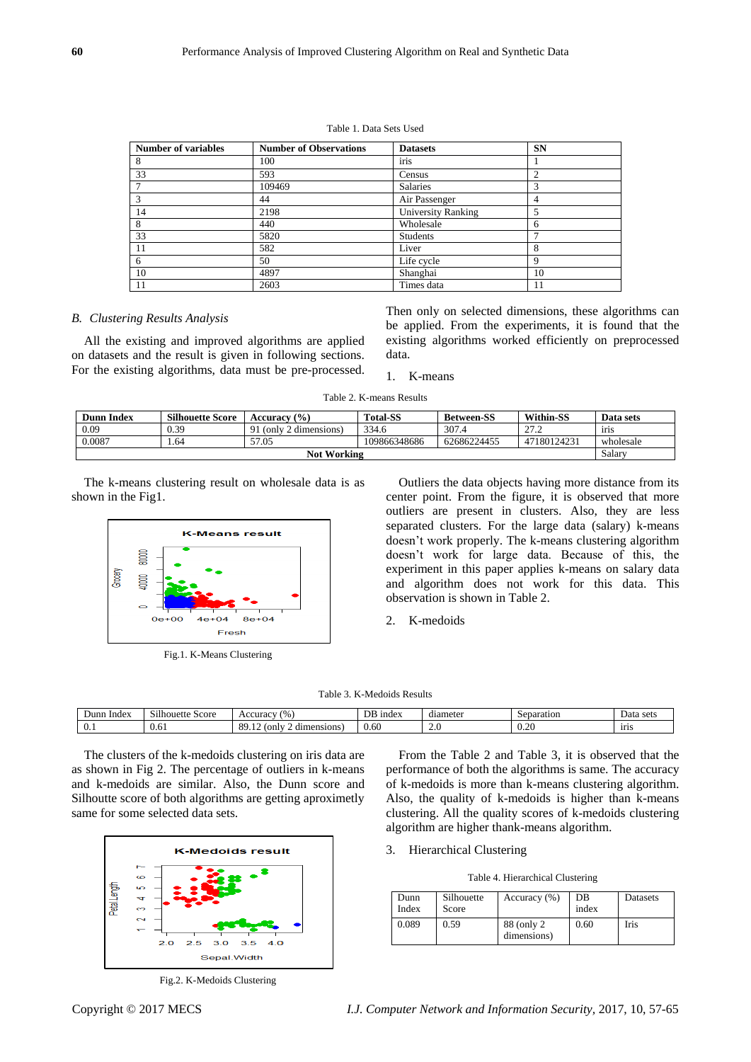#### Table 1. Data Sets Used

| <b>Number of variables</b> | <b>Number of Observations</b> | <b>Datasets</b>           | <b>SN</b>   |
|----------------------------|-------------------------------|---------------------------|-------------|
| 8                          | 100                           | iris                      |             |
| 33                         | 593                           | Census                    |             |
|                            | 109469                        | <b>Salaries</b>           |             |
|                            | 44                            | Air Passenger             | 4           |
| 14                         | 2198                          | <b>University Ranking</b> |             |
| 8                          | 440                           | Wholesale                 | 6           |
| 33                         | 5820                          | Students                  |             |
| 11                         | 582                           | Liver                     | 8           |
| 6                          | 50                            | Life cycle                | $\mathbf Q$ |
| 10                         | 4897                          | Shanghai                  | 10          |
| 11                         | 2603                          | Times data                | 11          |

#### *B. Clustering Results Analysis*

All the existing and improved algorithms are applied on datasets and the result is given in following sections. For the existing algorithms, data must be pre-processed.

Then only on selected dimensions, these algorithms can be applied. From the experiments, it is found that the existing algorithms worked efficiently on preprocessed data.

### 1. K-means

Table 2. K-means Results

| <b>Dunn Index</b>  | <b>Silhouette Score</b> | <b>Accuracy</b> (%)    | <b>Total-SS</b> | <b>Between-SS</b> | <b>Within-SS</b>                               | Data sets |
|--------------------|-------------------------|------------------------|-----------------|-------------------|------------------------------------------------|-----------|
| 0.09               | 0.39                    | 91 (only 2 dimensions) | 334.6           | 307.4             | $\mathcal{L}$<br>$\overline{a}$ $\overline{b}$ | iris      |
| 0.0087             | 1.64                    | 57.05                  | 109866348686    | 62686224455       | 47180124231                                    | wholesale |
| <b>Not Working</b> |                         |                        |                 |                   | Salary                                         |           |

The k-means clustering result on wholesale data is as shown in the Fig1.



Fig.1. K-Means Clustering

Outliers the data objects having more distance from its center point. From the figure, it is observed that more outliers are present in clusters. Also, they are less separated clusters. For the large data (salary) k-means doesn't work properly. The k-means clustering algorithm doesn't work for large data. Because of this, the experiment in this paper applies k-means on salary data and algorithm does not work for this data. This observation is shown in Table 2.

2. K-medoids

| Dunn<br>Index                           | $-1.11$<br>score<br>Silhouette | $\frac{9}{6}$<br>Accuracv                                          | DB<br><sub>1</sub> ndex | diameter     | senar<br>atıon:<br>ъснат | Data sets   |
|-----------------------------------------|--------------------------------|--------------------------------------------------------------------|-------------------------|--------------|--------------------------|-------------|
| $\sim$<br>$\mathbf{v} \cdot \mathbf{v}$ | $\sim$<br><br>U.UI             | 0C<br>$\sim$<br><sub>on</sub><br>dimensions<br>$\mathbf{u}$<br>$-$ | 0.60                    | <u>. . u</u> | $\Omega$<br>$v - v$      | <b>1115</b> |

The clusters of the k-medoids clustering on iris data are as shown in Fig 2. The percentage of outliers in k-means and k-medoids are similar. Also, the Dunn score and Silhoutte score of both algorithms are getting aproximetly same for some selected data sets.



Fig.2. K-Medoids Clustering

From the Table 2 and Table 3, it is observed that the performance of both the algorithms is same. The accuracy of k-medoids is more than k-means clustering algorithm. Also, the quality of k-medoids is higher than k-means clustering. All the quality scores of k-medoids clustering algorithm are higher thank-means algorithm.

3. Hierarchical Clustering

Table 4. Hierarchical Clustering

| Dunn<br>Index | Silhouette<br>Score | Accuracy $(\% )$           | DВ<br>index | Datasets |
|---------------|---------------------|----------------------------|-------------|----------|
| 0.089         | 0.59                | 88 (only 2)<br>dimensions) | 0.60        | Iris     |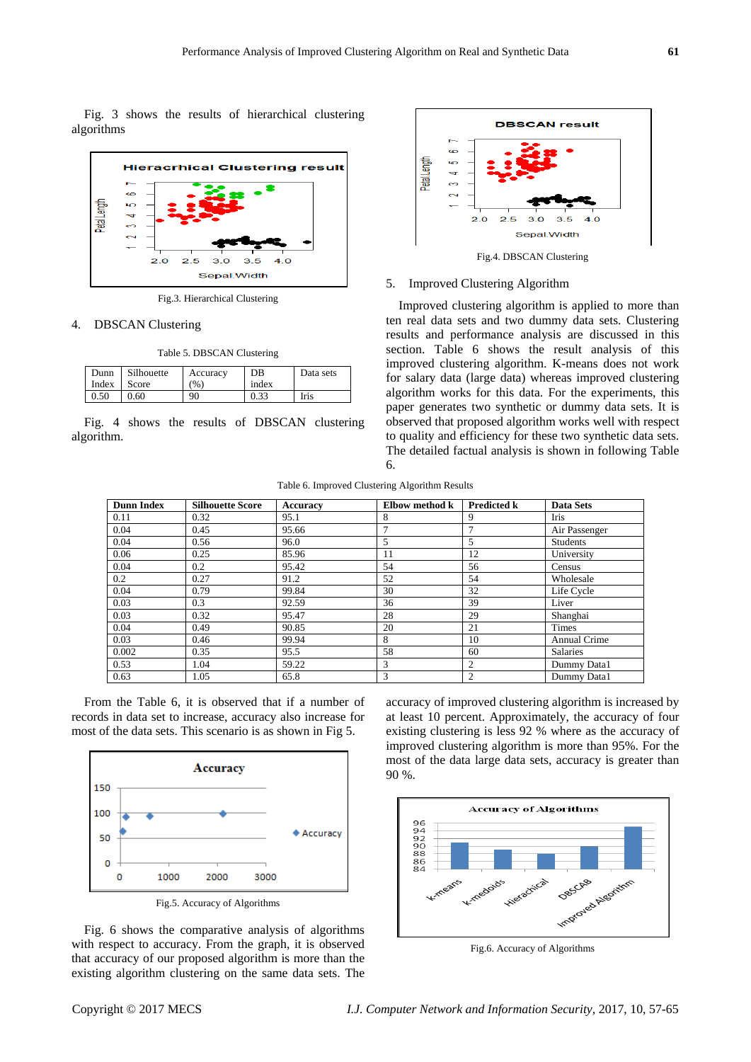Fig. 3 shows the results of hierarchical clustering algorithms



Fig.3. Hierarchical Clustering

#### 4. DBSCAN Clustering

Table 5. DBSCAN Clustering

| Dunn  | Silhouette | Accuracy | DB    | Data sets |
|-------|------------|----------|-------|-----------|
| Index | Score      | (96)     | index |           |
| 0.50  | 0.60       | 90       |       | Iris      |

Fig. 4 shows the results of DBSCAN clustering algorithm.



#### 5. Improved Clustering Algorithm

Improved clustering algorithm is applied to more than ten real data sets and two dummy data sets. Clustering results and performance analysis are discussed in this section. Table 6 shows the result analysis of this improved clustering algorithm. K-means does not work for salary data (large data) whereas improved clustering algorithm works for this data. For the experiments, this paper generates two synthetic or dummy data sets. It is observed that proposed algorithm works well with respect to quality and efficiency for these two synthetic data sets. The detailed factual analysis is shown in following Table 6.

Table 6. Improved Clustering Algorithm Results

| <b>Dunn Index</b> | <b>Silhouette Score</b> | Accuracy | Elbow method k | <b>Predicted k</b> | <b>Data Sets</b> |
|-------------------|-------------------------|----------|----------------|--------------------|------------------|
| 0.11              | 0.32                    | 95.1     | 8              | 9                  | <b>Iris</b>      |
| 0.04              | 0.45                    | 95.66    | 7              | ⇁                  | Air Passenger    |
| 0.04              | 0.56                    | 96.0     | 5              | 5                  | <b>Students</b>  |
| 0.06              | 0.25                    | 85.96    | 11             | 12                 | University       |
| 0.04              | 0.2                     | 95.42    | 54             | 56                 | Census           |
| 0.2               | 0.27                    | 91.2     | 52             | 54                 | Wholesale        |
| 0.04              | 0.79                    | 99.84    | 30             | 32                 | Life Cycle       |
| 0.03              | 0.3                     | 92.59    | 36             | 39                 | Liver            |
| 0.03              | 0.32                    | 95.47    | 28             | 29                 | Shanghai         |
| 0.04              | 0.49                    | 90.85    | 20             | 21                 | Times            |
| 0.03              | 0.46                    | 99.94    | 8              | 10                 | Annual Crime     |
| 0.002             | 0.35                    | 95.5     | 58             | 60                 | <b>Salaries</b>  |
| 0.53              | 1.04                    | 59.22    | 3              | 2                  | Dummy Data1      |
| 0.63              | 1.05                    | 65.8     | 3              | $\overline{c}$     | Dummy Data1      |

From the Table 6, it is observed that if a number of records in data set to increase, accuracy also increase for most of the data sets. This scenario is as shown in Fig 5.



Fig. 6 shows the comparative analysis of algorithms with respect to accuracy. From the graph, it is observed that accuracy of our proposed algorithm is more than the existing algorithm clustering on the same data sets. The accuracy of improved clustering algorithm is increased by at least 10 percent. Approximately, the accuracy of four existing clustering is less 92 % where as the accuracy of improved clustering algorithm is more than 95%. For the most of the data large data sets, accuracy is greater than 90 %.



Fig.6. Accuracy of Algorithms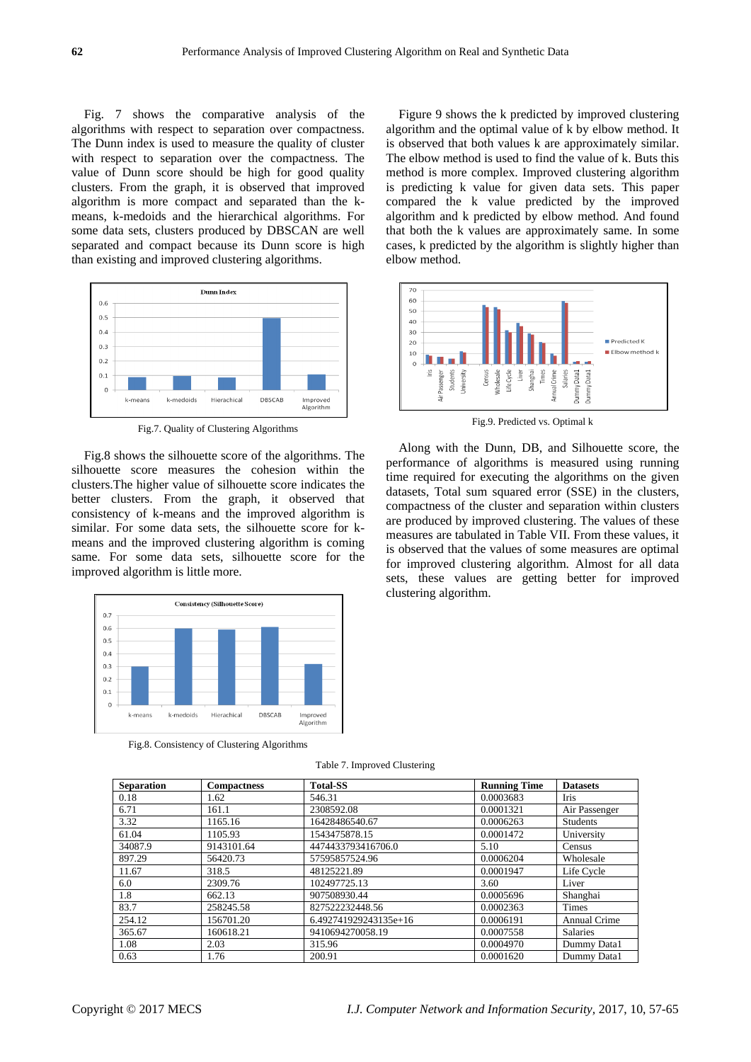Fig. 7 shows the comparative analysis of the algorithms with respect to separation over compactness. The Dunn index is used to measure the quality of cluster with respect to separation over the compactness. The value of Dunn score should be high for good quality clusters. From the graph, it is observed that improved algorithm is more compact and separated than the kmeans, k-medoids and the hierarchical algorithms. For some data sets, clusters produced by DBSCAN are well separated and compact because its Dunn score is high than existing and improved clustering algorithms.



Fig.7. Quality of Clustering Algorithms

Fig.8 shows the silhouette score of the algorithms. The silhouette score measures the cohesion within the clusters.The higher value of silhouette score indicates the better clusters. From the graph, it observed that consistency of k-means and the improved algorithm is similar. For some data sets, the silhouette score for kmeans and the improved clustering algorithm is coming same. For some data sets, silhouette score for the improved algorithm is little more.



Fig.8. Consistency of Clustering Algorithms

Table 7. Improved Clustering

| <b>Separation</b> | <b>Compactness</b> | <b>Total-SS</b>       | <b>Running Time</b> | <b>Datasets</b> |
|-------------------|--------------------|-----------------------|---------------------|-----------------|
| 0.18              | 1.62               | 546.31                | 0.0003683           | Iris            |
| 6.71              | 161.1              | 2308592.08            | 0.0001321           | Air Passenger   |
| 3.32              | 1165.16            | 16428486540.67        | 0.0006263           | <b>Students</b> |
| 61.04             | 1105.93            | 1543475878.15         | 0.0001472           | University      |
| 34087.9           | 9143101.64         | 4474433793416706.0    | 5.10                | Census          |
| 897.29            | 56420.73           | 57595857524.96        | 0.0006204           | Wholesale       |
| 11.67             | 318.5              | 48125221.89           | 0.0001947           | Life Cycle      |
| 6.0               | 2309.76            | 102497725.13          | 3.60                | Liver           |
| 1.8               | 662.13             | 907508930.44          | 0.0005696           | Shanghai        |
| 83.7              | 258245.58          | 827522232448.56       | 0.0002363           | <b>Times</b>    |
| 254.12            | 156701.20          | 6.492741929243135e+16 | 0.0006191           | Annual Crime    |
| 365.67            | 160618.21          | 9410694270058.19      | 0.0007558           | <b>Salaries</b> |
| 1.08              | 2.03               | 315.96                | 0.0004970           | Dummy Data1     |
| 0.63              | 1.76               | 200.91                | 0.0001620           | Dummy Data1     |

Figure 9 shows the k predicted by improved clustering algorithm and the optimal value of k by elbow method. It is observed that both values k are approximately similar. The elbow method is used to find the value of k. Buts this method is more complex. Improved clustering algorithm is predicting k value for given data sets. This paper compared the k value predicted by the improved algorithm and k predicted by elbow method. And found that both the k values are approximately same. In some cases, k predicted by the algorithm is slightly higher than elbow method.



Fig.9. Predicted vs. Optimal k

Along with the Dunn, DB, and Silhouette score, the performance of algorithms is measured using running time required for executing the algorithms on the given datasets, Total sum squared error (SSE) in the clusters, compactness of the cluster and separation within clusters are produced by improved clustering. The values of these measures are tabulated in Table VII. From these values, it is observed that the values of some measures are optimal for improved clustering algorithm. Almost for all data sets, these values are getting better for improved clustering algorithm.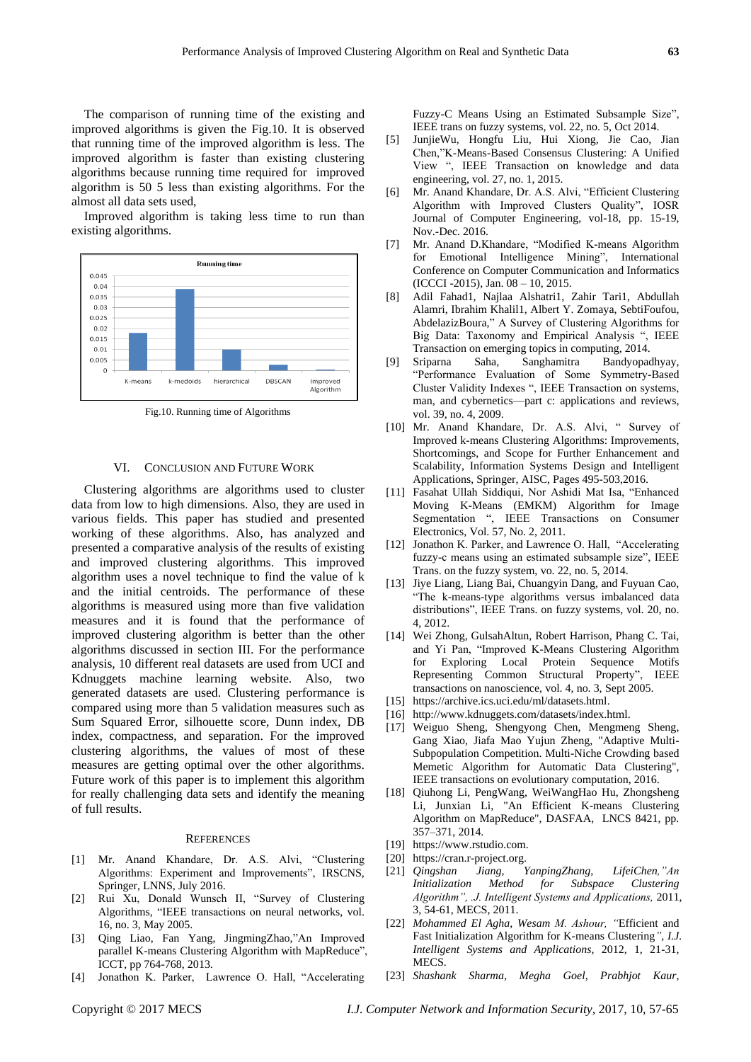The comparison of running time of the existing and improved algorithms is given the Fig.10. It is observed that running time of the improved algorithm is less. The improved algorithm is faster than existing clustering algorithms because running time required for improved algorithm is 50 5 less than existing algorithms. For the almost all data sets used,

Improved algorithm is taking less time to run than existing algorithms.



Fig.10. Running time of Algorithms

#### VI. CONCLUSION AND FUTURE WORK

Clustering algorithms are algorithms used to cluster data from low to high dimensions. Also, they are used in various fields. This paper has studied and presented working of these algorithms. Also, has analyzed and presented a comparative analysis of the results of existing and improved clustering algorithms. This improved algorithm uses a novel technique to find the value of k and the initial centroids. The performance of these algorithms is measured using more than five validation measures and it is found that the performance of improved clustering algorithm is better than the other algorithms discussed in section III. For the performance analysis, 10 different real datasets are used from UCI and Kdnuggets machine learning website. Also, two generated datasets are used. Clustering performance is compared using more than 5 validation measures such as Sum Squared Error, silhouette score, Dunn index, DB index, compactness, and separation. For the improved clustering algorithms, the values of most of these measures are getting optimal over the other algorithms. Future work of this paper is to implement this algorithm for really challenging data sets and identify the meaning of full results.

#### **REFERENCES**

- [1] Mr. Anand Khandare, Dr. A.S. Alvi, "Clustering Algorithms: Experiment and Improvements", IRSCNS, Springer, LNNS, July 2016.
- [2] Rui Xu, Donald Wunsch II, "Survey of Clustering Algorithms, "IEEE transactions on neural networks, vol. 16, no. 3, May 2005.
- [3] Qing Liao, Fan Yang, JingmingZhao,"An Improved parallel K-means Clustering Algorithm with MapReduce", ICCT, pp 764-768, 2013.
- [4] Jonathon K. Parker, Lawrence O. Hall, "Accelerating

Fuzzy-C Means Using an Estimated Subsample Size", IEEE trans on fuzzy systems, vol. 22, no. 5, Oct 2014.

- [5] JunjieWu, Hongfu Liu, Hui Xiong, Jie Cao, Jian Chen,"K-Means-Based Consensus Clustering: A Unified View ", IEEE Transaction on knowledge and data engineering, vol. 27, no. 1, 2015.
- [6] Mr. Anand Khandare, Dr. A.S. Alvi, "Efficient Clustering Algorithm with Improved Clusters Quality", IOSR Journal of Computer Engineering, vol-18, pp. 15-19, Nov.-Dec. 2016.
- [7] Mr. Anand D.Khandare, "Modified K-means Algorithm for Emotional Intelligence Mining", International Conference on Computer Communication and Informatics (ICCCI -2015), Jan. 08 – 10, 2015.
- [8] Adil Fahad1, Najlaa Alshatri1, Zahir Tari1, Abdullah Alamri, Ibrahim Khalil1, Albert Y. Zomaya, SebtiFoufou, AbdelazizBoura," A Survey of Clustering Algorithms for Big Data: Taxonomy and Empirical Analysis ", IEEE Transaction on emerging topics in computing, 2014.
- [9] Sriparna Saha, Sanghamitra Bandyopadhyay, "Performance Evaluation of Some Symmetry-Based Cluster Validity Indexes ", IEEE Transaction on systems, man, and cybernetics—part c: applications and reviews, vol. 39, no. 4, 2009.
- [10] Mr. Anand Khandare, Dr. A.S. Alvi, " Survey of Improved k-means Clustering Algorithms: Improvements, Shortcomings, and Scope for Further Enhancement and Scalability, [Information Systems Design and Intelligent](https://www.springerprofessional.de/en/information-systems-design-and-intelligent-applications/7431960)  [Applications, Springer, AISC,](https://www.springerprofessional.de/en/information-systems-design-and-intelligent-applications/7431960) Pages 495-503,2016.
- [11] Fasahat Ullah Siddiqui, Nor Ashidi Mat Isa, "Enhanced Moving K-Means (EMKM) Algorithm for Image Segmentation ", IEEE Transactions on Consumer Electronics, Vol. 57, No. 2, 2011.
- [12] Jonathon K. Parker, and Lawrence O. Hall, "Accelerating fuzzy-c means using an estimated subsample size", IEEE Trans. on the fuzzy system, vo. 22, no. 5, 2014.
- [13] Jiye Liang, Liang Bai, Chuangyin Dang, and Fuyuan Cao, "The k-means-type algorithms versus imbalanced data distributions", IEEE Trans. on fuzzy systems, vol. 20, no. 4, 2012.
- [14] Wei Zhong, GulsahAltun, Robert Harrison, Phang C. Tai, and Yi Pan, "Improved K-Means Clustering Algorithm for Exploring Local Protein Sequence Motifs Representing Common Structural Property", IEEE transactions on nanoscience, vol. 4, no. 3, Sept 2005.
- [15] [https://archive.ics.uci.edu/ml/datasets.html.](https://archive.ics.uci.edu/ml/datasets.html)
- [16] [http://www.kdnuggets.com/datasets/index.html.](http://www.kdnuggets.com/datasets/index.html)
- [17] Weiguo Sheng, Shengyong Chen, Mengmeng Sheng, Gang Xiao, Jiafa Mao Yujun Zheng, "Adaptive Multi-Subpopulation Competition. Multi-Niche Crowding based Memetic Algorithm for Automatic Data Clustering", IEEE transactions on evolutionary computation, 2016.
- [18] Qiuhong Li, PengWang, WeiWangHao Hu, Zhongsheng Li, Junxian Li, "An Efficient K-means Clustering Algorithm on MapReduce", DASFAA, LNCS 8421, pp. 357–371, 2014.
- [19] [https://www.rstudio.com.](https://www.rstudio.com/)
- [20] [https://cran.r-project.org.](https://cran.r-project.org/)
- [21] *Qingshan Jiang, YanpingZhang, LifeiChen,"An Initialization Method for Subspace Clustering Algorithm", .J. Intelligent Systems and Applications,* 2011, 3, 54-61, MECS, 2011.
- [22] *Mohammed El Agha, Wesam M. Ashour, "*Efficient and Fast Initialization Algorithm for K-means Clustering*", I.J. Intelligent Systems and Applications,* 2012, 1, 21-31, MECS.
- [23] *Shashank Sharma, Megha Goel, Prabhjot Kaur,*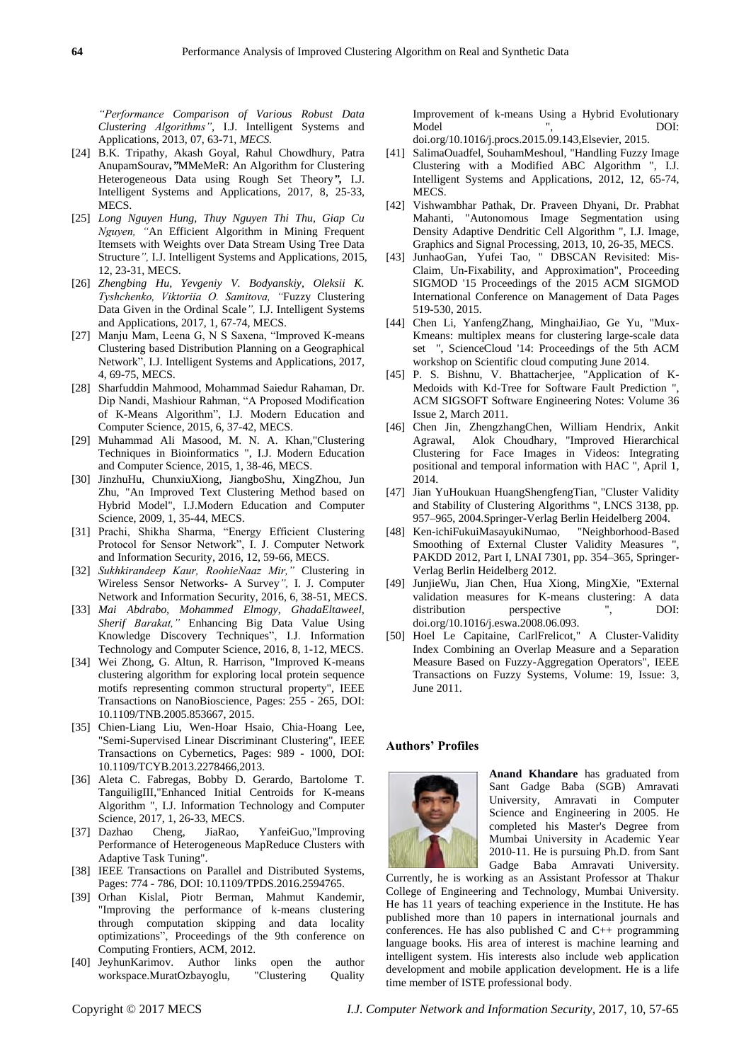*"Performance Comparison of Various Robust Data Clustering Algorithms",* I.J. Intelligent Systems and Applications, 2013, 07, 63-71*, MECS.*

- [24] B.K. Tripathy, Akash Goyal, Rahul Chowdhury, Patra AnupamSourav*,"*MMeMeR: An Algorithm for Clustering Heterogeneous Data using Rough Set Theory*",* I.J. Intelligent Systems and Applications, 2017, 8, 25-33, MECS.
- [25] *Long Nguyen Hung, Thuy Nguyen Thi Thu, Giap Cu Nguyen, "*An Efficient Algorithm in Mining Frequent Itemsets with Weights over Data Stream Using Tree Data Structure*",* I.J. Intelligent Systems and Applications, 2015, 12, 23-31, MECS.
- [26] *Zhengbing Hu, Yevgeniy V. Bodyanskiy, Oleksii K. Tyshchenko, Viktoriia O. Samitova, "*Fuzzy Clustering Data Given in the Ordinal Scale*",* I.J. Intelligent Systems and Applications, 2017, 1, 67-74, MECS.
- [27] Manju Mam, Leena G, N S Saxena, "Improved K-means Clustering based Distribution Planning on a Geographical Network", I.J. Intelligent Systems and Applications, 2017, 4, 69-75, MECS.
- [28] Sharfuddin Mahmood, Mohammad Saiedur Rahaman, Dr. Dip Nandi, Mashiour Rahman, "A Proposed Modification of K-Means Algorithm", I.J. Modern Education and Computer Science, 2015, 6, 37-42, MECS.
- [29] Muhammad Ali Masood, M. N. A. Khan,"Clustering Techniques in Bioinformatics ", I.J. Modern Education and Computer Science, 2015, 1, 38-46, MECS.
- [30] JinzhuHu, ChunxiuXiong, JiangboShu, XingZhou, Jun Zhu, "An Improved Text Clustering Method based on Hybrid Model", I.J.Modern Education and Computer Science, 2009, 1, 35-44, MECS.
- [31] Prachi, Shikha Sharma, "Energy Efficient Clustering Protocol for Sensor Network", I. J. Computer Network and Information Security, 2016, 12, 59-66, MECS.
- [32] *Sukhkirandeep Kaur, RoohieNaaz Mir,"* Clustering in Wireless Sensor Networks- A Survey*",* I. J. Computer Network and Information Security, 2016, 6, 38-51, MECS.
- [33] *Mai Abdrabo, Mohammed Elmogy, GhadaEltaweel, Sherif Barakat,"* Enhancing Big Data Value Using Knowledge Discovery Techniques", I.J. Information Technology and Computer Science, 2016, 8, 1-12, MECS.
- [34] Wei Zhong, G. Altun, R. Harrison, "Improved K-means clustering algorithm for exploring local protein sequence motifs representing common structural property", IEEE Transactions on NanoBioscience, Pages: 255 - 265, DOI: 10.1109/TNB.2005.853667, 2015.
- [35] Chien-Liang Liu, Wen-Hoar Hsaio, Chia-Hoang Lee, "Semi-Supervised Linear Discriminant Clustering", IEEE Transactions on Cybernetics, Pages: 989 - 1000, DOI: 10.1109/TCYB.2013.2278466,2013.
- [36] Aleta C. Fabregas, Bobby D. Gerardo, Bartolome T. TanguiligIII,"Enhanced Initial Centroids for K-means Algorithm ", I.J. Information Technology and Computer Science, 2017, 1, 26-33, MECS.
- [37] Dazhao Cheng, JiaRao, YanfeiGuo,"Improving Performance of Heterogeneous MapReduce Clusters with Adaptive Task Tuning".
- [38] IEEE Transactions on Parallel and Distributed Systems, Pages: 774 - 786, DOI: 10.1109/TPDS.2016.2594765.
- [39] Orhan Kislal, Piotr Berman, Mahmut Kandemir, "Improving the performance of k-means clustering through computation skipping and data locality optimizations", Proceedings of the 9th conference on Computing Frontiers, ACM, 2012.
- [40] JeyhunKarimov. Author links open the author workspace.MuratOzbayoglu, "Clustering Quality

Improvement of k-means Using a Hybrid Evolutionary Model ", DOI: doi.org/10.1016/j.procs.2015.09.143,Elsevier, 2015.

- [41] SalimaOuadfel, SouhamMeshoul, "Handling Fuzzy Image Clustering with a Modified ABC Algorithm ", I.J. Intelligent Systems and Applications, 2012, 12, 65-74, **MECS**
- [42] Vishwambhar Pathak, Dr. Praveen Dhyani, Dr. Prabhat Mahanti, "Autonomous Image Segmentation using Density Adaptive Dendritic Cell Algorithm ", I.J. Image, Graphics and Signal Processing, 2013, 10, 26-35, MECS.
- [43] JunhaoGan, Yufei Tao, " DBSCAN Revisited: Mis-Claim, Un-Fixability, and Approximation", Proceeding SIGMOD '15 Proceedings of the 2015 ACM SIGMOD International Conference on Management of Data Pages 519-530, 2015.
- [44] Chen Li, YanfengZhang, MinghaiJiao, Ge Yu, "Mux-Kmeans: multiplex means for clustering large-scale data set ", ScienceCloud '14: Proceedings of the 5th ACM workshop on Scientific cloud computing June 2014.
- [45] P. S. Bishnu, V. Bhattacherjee, "Application of K-Medoids with Kd-Tree for Software Fault Prediction ", ACM SIGSOFT Software Engineering Notes: Volume 36 Issue 2, March 2011.
- [46] Chen Jin, ZhengzhangChen, William Hendrix, Ankit Agrawal, Alok Choudhary, "Improved Hierarchical Clustering for Face Images in Videos: Integrating positional and temporal information with HAC ", April 1, 2014.
- [47] Jian YuHoukuan HuangShengfengTian, "Cluster Validity and Stability of Clustering Algorithms ", LNCS 3138, pp. 957–965, 2004.Springer-Verlag Berlin Heidelberg 2004.
- [48] Ken-ichiFukuiMasayukiNumao, "Neighborhood-Based Smoothing of External Cluster Validity Measures ", PAKDD 2012, Part I, LNAI 7301, pp. 354–365, Springer-Verlag Berlin Heidelberg 2012.
- [49] JunjieWu, Jian Chen, Hua Xiong, MingXie, "External validation measures for K-means clustering: A data distribution perspective ", DOI: doi.org/10.1016/j.eswa.2008.06.093.
- [50] Hoel Le Capitaine, CarlFrelicot," A Cluster-Validity Index Combining an Overlap Measure and a Separation Measure Based on Fuzzy-Aggregation Operators", IEEE Transactions on Fuzzy Systems, Volume: 19, Issue: 3, June 2011.

#### **Authors' Profiles**



**Anand Khandare** has graduated from Sant Gadge Baba (SGB) Amravati University, Amravati in Computer Science and Engineering in 2005. He completed his Master's Degree from Mumbai University in Academic Year 2010-11. He is pursuing Ph.D. from Sant Gadge Baba Amravati University.

Currently, he is working as an Assistant Professor at Thakur College of Engineering and Technology, Mumbai University. He has 11 years of teaching experience in the Institute. He has published more than 10 papers in international journals and conferences. He has also published C and C++ programming language books. His area of interest is machine learning and intelligent system. His interests also include web application development and mobile application development. He is a life time member of ISTE professional body.